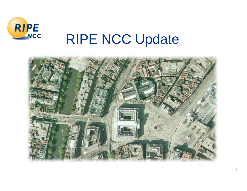

# RIPE NCC Update

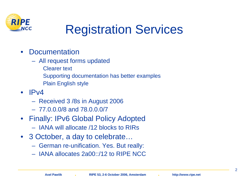

# Registration Services

- $\bullet$ **Documentation** 
	- – All request forms updated
		- Clearer text
		- Supporting documentation has better examples
		- Plain English style
- IPv4
	- **Hart Community** Received 3 /8s in August 2006
	- 77.0.0.0/8 and 78.0.0.0/7
- Finally: IPv6 Global Policy Adopted
	- IANA will allocate /12 blocks to RIRs
- 3 October, a day to celebrate…
	- **Hart Community** German re-unification. Yes. But really:
	- IANA allocates 2a00::/12 to RIPE NCC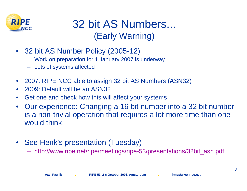

32 bit AS Numbers... (Early Warning)

- 32 bit AS Number Policy (2005-12)
	- Work on preparation for 1 January 2007 is underway
	- Lots of systems affected
- $\bullet$ 2007: RIPE NCC able to assign 32 bit AS Numbers (ASN32)
- •2009: Default will be an ASN32
- •Get one and check how this will affect your systems
- $\bullet$  Our experience: Changing a 16 bit number into a 32 bit number is a non-trivial operation that requires a lot more time than one would think.
- See Henk's presentation (Tuesday)
	- –http://www.ripe.net/ripe/meetings/ripe-53/presentations/32bit\_asn.pdf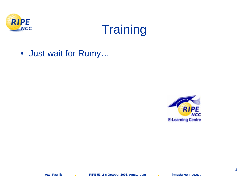

### **Training**

• Just wait for Rumy…

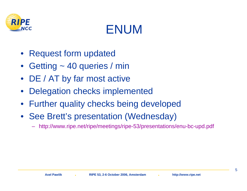

#### ENUM

- Request form updated
- •Getting ~ 40 queries / min
- $\bullet$ DE / AT by far most active
- •Delegation checks implemented
- Further quality checks being developed
- • See Brett's presentation (Wednesday)
	- http://www.ripe.net/ripe/meetings/ripe-53/presentations/enu-bc-upd.pdf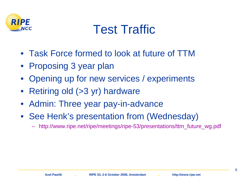

#### Test Traffic

- Task Force formed to look at future of TTM
- Proposing 3 year plan
- $\bullet$ Opening up for new services / experiments
- •Retiring old (>3 yr) hardware
- •Admin: Three year pay-in-advance
- See Henk's presentation from (Wednesday)
	- http://www.ripe.net/ripe/meetings/ripe-53/presentations/ttm\_future\_wg.pdf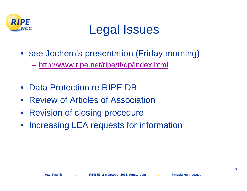



- see Jochem's presentation (Friday morning)  $\mathcal{L}_{\mathcal{A}}$ <http://www.ripe.net/ripe/tf/dp/index.html>
- Data Protection re RIPE DB
- Review of Articles of Association
- $\bullet$ Revision of closing procedure
- $\bullet$ Increasing LEA requests for information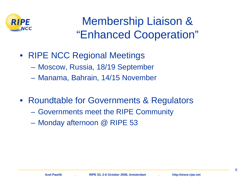

Membership Liaison & "Enhanced Cooperation"

- RIPE NCC Regional Meetings
	- Moscow, Russia, 18/19 September
	- –Manama, Bahrain, 14/15 November
- Roundtable for Governments & Regulators
	- –Governments meet the RIPE Community
	- –Monday afternoon @ RIPE 53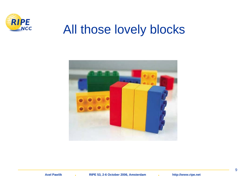

#### All those lovely blocks

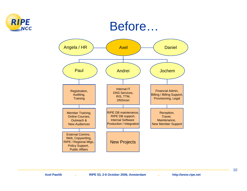

#### Before…



10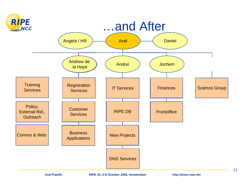

**Axel Pawlik. RIPE 53, 2-6 October 2006, Amsterdam . http://www.ripe.net**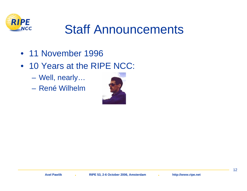

### Staff Announcements

- 11 November 1996
- 10 Years at the RIPE NCC:
	- –Well, nearly…
	- René Wilhelm

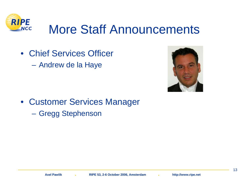

### More Staff Announcements

- Chief Services Officer
	- $\mathcal{L}_{\mathcal{A}}$ Andrew de la Haye



- Customer Services Manager
	- $\mathcal{L}_{\mathcal{A}}$ Gregg Stephenson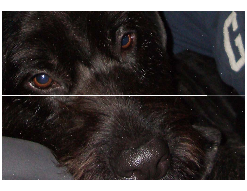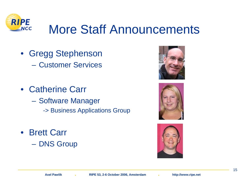

# More Staff Announcements

- Gregg Stephenson – Customer Services
- Catherine Carr
	- $\mathcal{L}_{\mathcal{A}}$  , and the set of  $\mathcal{L}_{\mathcal{A}}$  Software Manager -> Business Applications Group
- Brett Carr
	- –DNS Group





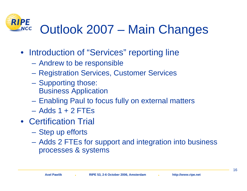#### **RIPE** Outlook 2007 – Main Changes **NCC**

- Introduction of "Services" reporting line
	- –Andrew to be responsible
	- $\mathcal{L}_{\mathcal{A}}$ Registration Services, Customer Services
	- $\mathcal{L}_{\mathcal{A}}$  , and the set of  $\mathcal{L}_{\mathcal{A}}$  Supporting those: Business Application
	- –Enabling Paul to focus fully on external matters
	- Adds 1 + 2 FTEs
- Certification Trial
	- $\mathcal{L}_{\mathcal{A}}$ Step up efforts
	- $\mathcal{L}_{\mathcal{A}}$  , and the set of  $\mathcal{L}_{\mathcal{A}}$  Adds 2 FTEs for support and integration into business processes & systems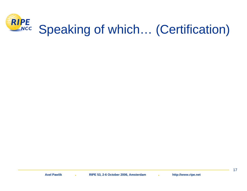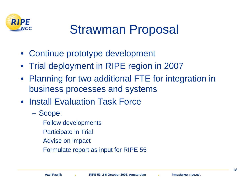

### Strawman Proposal

- Continue prototype development
- Trial deployment in RIPE region in 2007
- Planning for two additional FTE for integration in business processes and systems
- Install Evaluation Task Force
	- – Scope:
		- Follow developments
		- Participate in Trial
		- Advise on impact
		- Formulate report as input for RIPE 55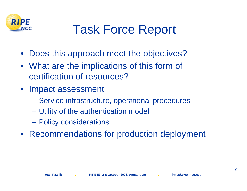

### Task Force Report

- Does this approach meet the objectives?
- What are the implications of this form of certification of resources?
- Impact assessment
	- $\mathcal{L}_{\mathcal{A}}$ Service infrastructure, operational procedures
	- $\mathcal{L}_{\mathcal{A}}$ Utility of the authentication model
	- $\mathcal{L}_{\mathcal{A}}$ Policy considerations
- Recommendations for production deployment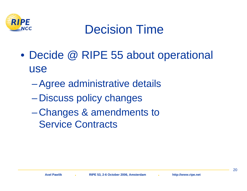

#### Decision Time

- $\bullet$ Decide @ RIPE 55 about operational use
	- $\mathcal{L}_{\mathcal{A}}$  , and the set of  $\mathcal{L}_{\mathcal{A}}$ Agree administrative details
	- $\mathcal{L}_{\mathcal{A}}$  , and the set of  $\mathcal{L}_{\mathcal{A}}$ Discuss policy changes
	- $\mathcal{L}_{\mathcal{A}}$  Changes & amendments to Service Contracts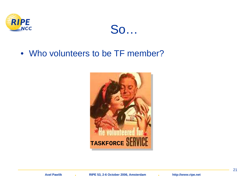

So…

#### • Who volunteers to be TF member?

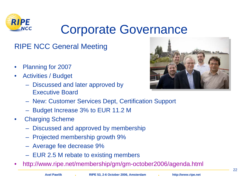

# Corporate Governance

#### RIPE NCC General Meeting

- $\bullet$ Planning for 2007
- $\bullet$  Activities / Budget
	- Discussed and later approved by Executive Board



- New: Customer Services Dept, Certification Support
- Budget Increase 3% to EUR 11.2 M
- • Charging Scheme
	- Discussed and approved by membership
	- Projected membership growth 9%
	- Average fee decrease 9%
	- EUR 2.5 M rebate to existing members
- •http://www.ripe.net/membership/gm/gm-october2006/agenda.html